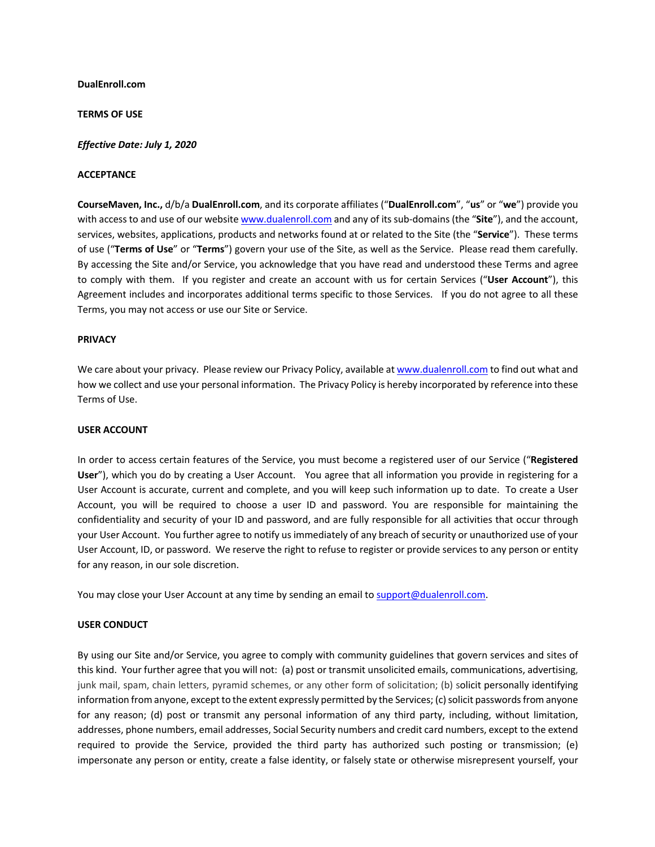### **DualEnroll.com**

### **TERMS OF USE**

### *Effective Date: July 1, 2020*

### **ACCEPTANCE**

**CourseMaven, Inc.,** d/b/a **DualEnroll.com**, and its corporate affiliates ("**DualEnroll.com**", "**us**" or "**we**") provide you with access to and use of our website www.dualenroll.com and any of its sub-domains (the "**Site**"), and the account, services, websites, applications, products and networks found at or related to the Site (the "**Service**"). These terms of use ("**Terms of Use**" or "**Terms**") govern your use of the Site, as well as the Service. Please read them carefully. By accessing the Site and/or Service, you acknowledge that you have read and understood these Terms and agree to comply with them. If you register and create an account with us for certain Services ("**User Account**"), this Agreement includes and incorporates additional terms specific to those Services. If you do not agree to all these Terms, you may not access or use our Site or Service.

#### **PRIVACY**

We care about your privacy. Please review our Privacy Policy, available at www.dualenroll.com to find out what and how we collect and use your personal information. The Privacy Policy is hereby incorporated by reference into these Terms of Use.

# **USER ACCOUNT**

In order to access certain features of the Service, you must become a registered user of our Service ("**Registered User**"), which you do by creating a User Account. You agree that all information you provide in registering for a User Account is accurate, current and complete, and you will keep such information up to date. To create a User Account, you will be required to choose a user ID and password. You are responsible for maintaining the confidentiality and security of your ID and password, and are fully responsible for all activities that occur through your User Account. You further agree to notify us immediately of any breach of security or unauthorized use of your User Account, ID, or password. We reserve the right to refuse to register or provide services to any person or entity for any reason, in our sole discretion.

You may close your User Account at any time by sending an email to support@dualenroll.com.

# **USER CONDUCT**

By using our Site and/or Service, you agree to comply with community guidelines that govern services and sites of this kind. Your further agree that you will not: (a) post or transmit unsolicited emails, communications, advertising, junk mail, spam, chain letters, pyramid schemes, or any other form of solicitation; (b) solicit personally identifying information from anyone, except to the extent expressly permitted by the Services; (c) solicit passwords from anyone for any reason; (d) post or transmit any personal information of any third party, including, without limitation, addresses, phone numbers, email addresses, Social Security numbers and credit card numbers, except to the extend required to provide the Service, provided the third party has authorized such posting or transmission; (e) impersonate any person or entity, create a false identity, or falsely state or otherwise misrepresent yourself, your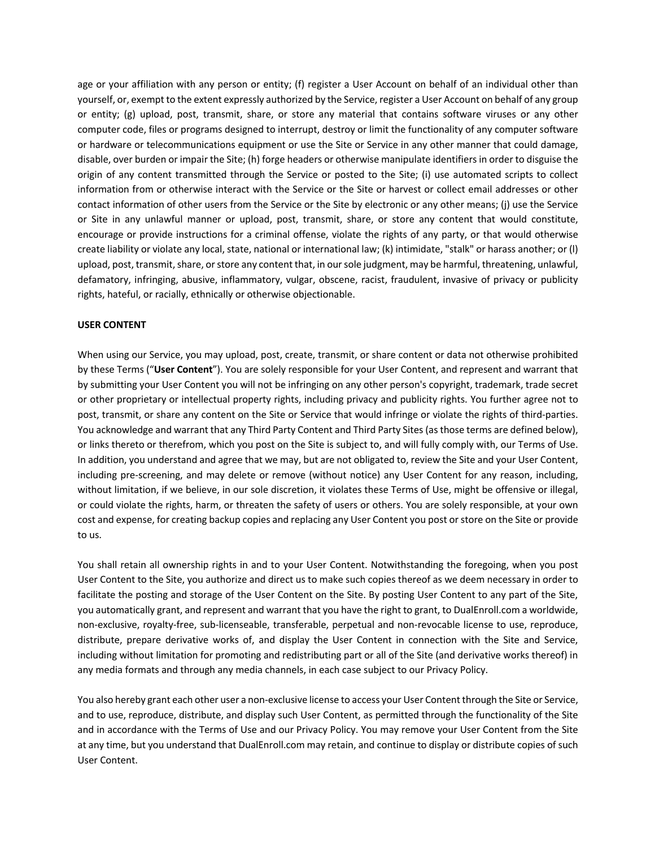age or your affiliation with any person or entity; (f) register a User Account on behalf of an individual other than yourself, or, exempt to the extent expressly authorized by the Service, register a User Account on behalf of any group or entity; (g) upload, post, transmit, share, or store any material that contains software viruses or any other computer code, files or programs designed to interrupt, destroy or limit the functionality of any computer software or hardware or telecommunications equipment or use the Site or Service in any other manner that could damage, disable, over burden or impair the Site; (h) forge headers or otherwise manipulate identifiers in order to disguise the origin of any content transmitted through the Service or posted to the Site; (i) use automated scripts to collect information from or otherwise interact with the Service or the Site or harvest or collect email addresses or other contact information of other users from the Service or the Site by electronic or any other means; (j) use the Service or Site in any unlawful manner or upload, post, transmit, share, or store any content that would constitute, encourage or provide instructions for a criminal offense, violate the rights of any party, or that would otherwise create liability or violate any local, state, national or international law; (k) intimidate, "stalk" or harass another; or (l) upload, post, transmit, share, or store any content that, in our sole judgment, may be harmful, threatening, unlawful, defamatory, infringing, abusive, inflammatory, vulgar, obscene, racist, fraudulent, invasive of privacy or publicity rights, hateful, or racially, ethnically or otherwise objectionable.

### **USER CONTENT**

When using our Service, you may upload, post, create, transmit, or share content or data not otherwise prohibited by these Terms ("**User Content**"). You are solely responsible for your User Content, and represent and warrant that by submitting your User Content you will not be infringing on any other person's copyright, trademark, trade secret or other proprietary or intellectual property rights, including privacy and publicity rights. You further agree not to post, transmit, or share any content on the Site or Service that would infringe or violate the rights of third-parties. You acknowledge and warrant that any Third Party Content and Third Party Sites (as those terms are defined below), or links thereto or therefrom, which you post on the Site is subject to, and will fully comply with, our Terms of Use. In addition, you understand and agree that we may, but are not obligated to, review the Site and your User Content, including pre-screening, and may delete or remove (without notice) any User Content for any reason, including, without limitation, if we believe, in our sole discretion, it violates these Terms of Use, might be offensive or illegal, or could violate the rights, harm, or threaten the safety of users or others. You are solely responsible, at your own cost and expense, for creating backup copies and replacing any User Content you post or store on the Site or provide to us.

You shall retain all ownership rights in and to your User Content. Notwithstanding the foregoing, when you post User Content to the Site, you authorize and direct us to make such copies thereof as we deem necessary in order to facilitate the posting and storage of the User Content on the Site. By posting User Content to any part of the Site, you automatically grant, and represent and warrant that you have the right to grant, to DualEnroll.com a worldwide, non-exclusive, royalty-free, sub-licenseable, transferable, perpetual and non-revocable license to use, reproduce, distribute, prepare derivative works of, and display the User Content in connection with the Site and Service, including without limitation for promoting and redistributing part or all of the Site (and derivative works thereof) in any media formats and through any media channels, in each case subject to our Privacy Policy.

You also hereby grant each other user a non-exclusive license to access your User Content through the Site or Service, and to use, reproduce, distribute, and display such User Content, as permitted through the functionality of the Site and in accordance with the Terms of Use and our Privacy Policy. You may remove your User Content from the Site at any time, but you understand that DualEnroll.com may retain, and continue to display or distribute copies of such User Content.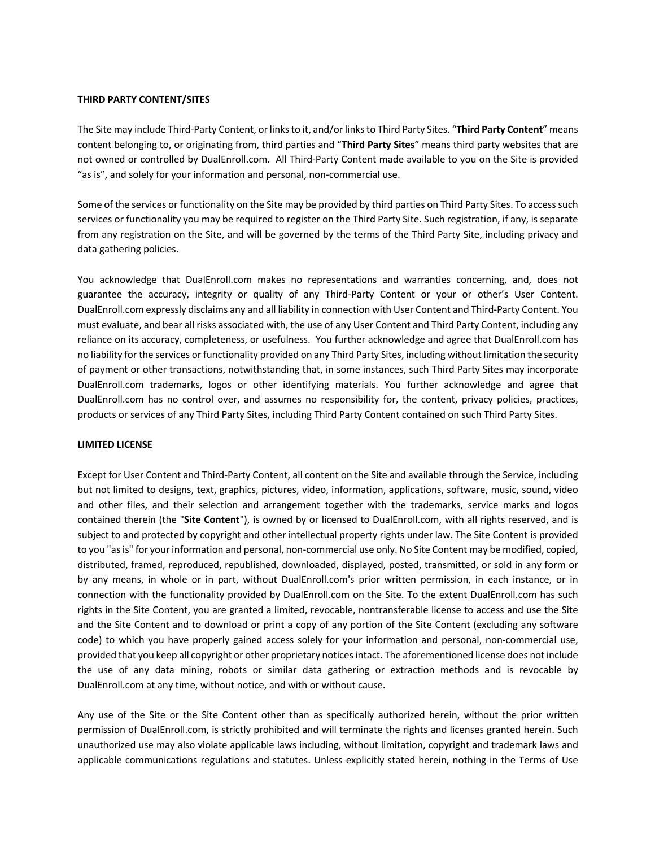### **THIRD PARTY CONTENT/SITES**

The Site may include Third-Party Content, or links to it, and/or links to Third Party Sites. "**Third Party Content**" means content belonging to, or originating from, third parties and "**Third Party Sites**" means third party websites that are not owned or controlled by DualEnroll.com. All Third-Party Content made available to you on the Site is provided "as is", and solely for your information and personal, non-commercial use.

Some of the services or functionality on the Site may be provided by third parties on Third Party Sites. To access such services or functionality you may be required to register on the Third Party Site. Such registration, if any, is separate from any registration on the Site, and will be governed by the terms of the Third Party Site, including privacy and data gathering policies.

You acknowledge that DualEnroll.com makes no representations and warranties concerning, and, does not guarantee the accuracy, integrity or quality of any Third-Party Content or your or other's User Content. DualEnroll.com expressly disclaims any and all liability in connection with User Content and Third-Party Content. You must evaluate, and bear all risks associated with, the use of any User Content and Third Party Content, including any reliance on its accuracy, completeness, or usefulness. You further acknowledge and agree that DualEnroll.com has no liability for the services or functionality provided on any Third Party Sites, including without limitation the security of payment or other transactions, notwithstanding that, in some instances, such Third Party Sites may incorporate DualEnroll.com trademarks, logos or other identifying materials. You further acknowledge and agree that DualEnroll.com has no control over, and assumes no responsibility for, the content, privacy policies, practices, products or services of any Third Party Sites, including Third Party Content contained on such Third Party Sites.

### **LIMITED LICENSE**

Except for User Content and Third-Party Content, all content on the Site and available through the Service, including but not limited to designs, text, graphics, pictures, video, information, applications, software, music, sound, video and other files, and their selection and arrangement together with the trademarks, service marks and logos contained therein (the "**Site Content**"), is owned by or licensed to DualEnroll.com, with all rights reserved, and is subject to and protected by copyright and other intellectual property rights under law. The Site Content is provided to you "asis" for your information and personal, non-commercial use only. No Site Content may be modified, copied, distributed, framed, reproduced, republished, downloaded, displayed, posted, transmitted, or sold in any form or by any means, in whole or in part, without DualEnroll.com's prior written permission, in each instance, or in connection with the functionality provided by DualEnroll.com on the Site. To the extent DualEnroll.com has such rights in the Site Content, you are granted a limited, revocable, nontransferable license to access and use the Site and the Site Content and to download or print a copy of any portion of the Site Content (excluding any software code) to which you have properly gained access solely for your information and personal, non-commercial use, provided that you keep all copyright or other proprietary notices intact. The aforementioned license does not include the use of any data mining, robots or similar data gathering or extraction methods and is revocable by DualEnroll.com at any time, without notice, and with or without cause.

Any use of the Site or the Site Content other than as specifically authorized herein, without the prior written permission of DualEnroll.com, is strictly prohibited and will terminate the rights and licenses granted herein. Such unauthorized use may also violate applicable laws including, without limitation, copyright and trademark laws and applicable communications regulations and statutes. Unless explicitly stated herein, nothing in the Terms of Use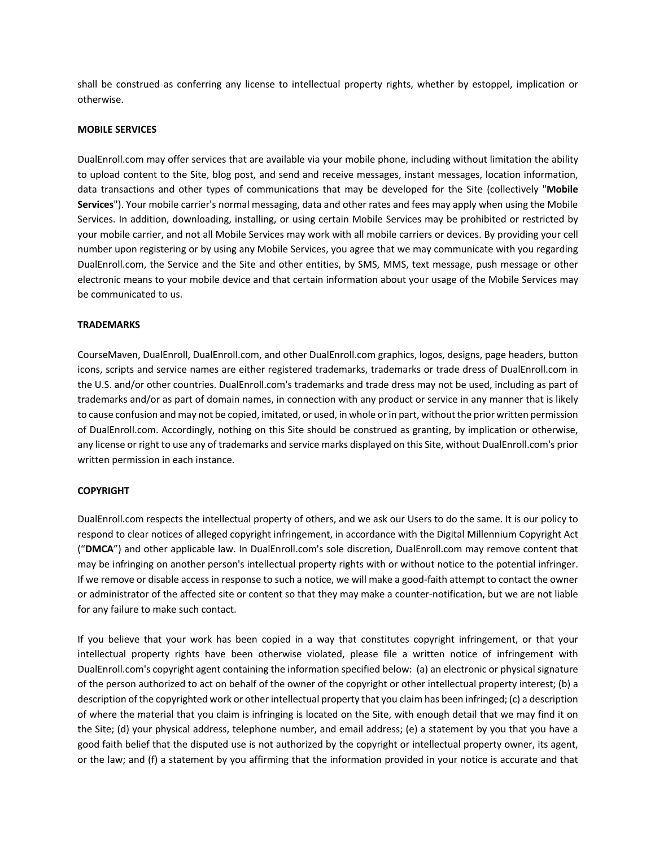shall be construed as conferring any license to intellectual property rights, whether by estoppel, implication or otherwise.

#### **MOBILE SERVICES**

DualEnroll.com may offer services that are available via your mobile phone, including without limitation the ability to upload content to the Site, blog post, and send and receive messages, instant messages, location information, data transactions and other types of communications that may be developed for the Site (collectively "**Mobile Services**"). Your mobile carrier's normal messaging, data and other rates and fees may apply when using the Mobile Services. In addition, downloading, installing, or using certain Mobile Services may be prohibited or restricted by your mobile carrier, and not all Mobile Services may work with all mobile carriers or devices. By providing your cell number upon registering or by using any Mobile Services, you agree that we may communicate with you regarding DualEnroll.com, the Service and the Site and other entities, by SMS, MMS, text message, push message or other electronic means to your mobile device and that certain information about your usage of the Mobile Services may be communicated to us.

#### **TRADEMARKS**

CourseMaven, DualEnroll, DualEnroll.com, and other DualEnroll.com graphics, logos, designs, page headers, button icons, scripts and service names are either registered trademarks, trademarks or trade dress of DualEnroll.com in the U.S. and/or other countries. DualEnroll.com's trademarks and trade dress may not be used, including as part of trademarks and/or as part of domain names, in connection with any product or service in any manner that is likely to cause confusion and may not be copied, imitated, or used, in whole or in part, without the prior written permission of DualEnroll.com. Accordingly, nothing on this Site should be construed as granting, by implication or otherwise, any license or right to use any of trademarks and service marks displayed on this Site, without DualEnroll.com's prior written permission in each instance.

#### **COPYRIGHT**

DualEnroll.com respects the intellectual property of others, and we ask our Users to do the same. It is our policy to respond to clear notices of alleged copyright infringement, in accordance with the Digital Millennium Copyright Act ("**DMCA**") and other applicable law. In DualEnroll.com's sole discretion, DualEnroll.com may remove content that may be infringing on another person's intellectual property rights with or without notice to the potential infringer. If we remove or disable access in response to such a notice, we will make a good-faith attempt to contact the owner or administrator of the affected site or content so that they may make a counter-notification, but we are not liable for any failure to make such contact.

If you believe that your work has been copied in a way that constitutes copyright infringement, or that your intellectual property rights have been otherwise violated, please file a written notice of infringement with DualEnroll.com's copyright agent containing the information specified below: (a) an electronic or physical signature of the person authorized to act on behalf of the owner of the copyright or other intellectual property interest; (b) a description of the copyrighted work or other intellectual property that you claim has been infringed; (c) a description of where the material that you claim is infringing is located on the Site, with enough detail that we may find it on the Site; (d) your physical address, telephone number, and email address; (e) a statement by you that you have a good faith belief that the disputed use is not authorized by the copyright or intellectual property owner, its agent, or the law; and (f) a statement by you affirming that the information provided in your notice is accurate and that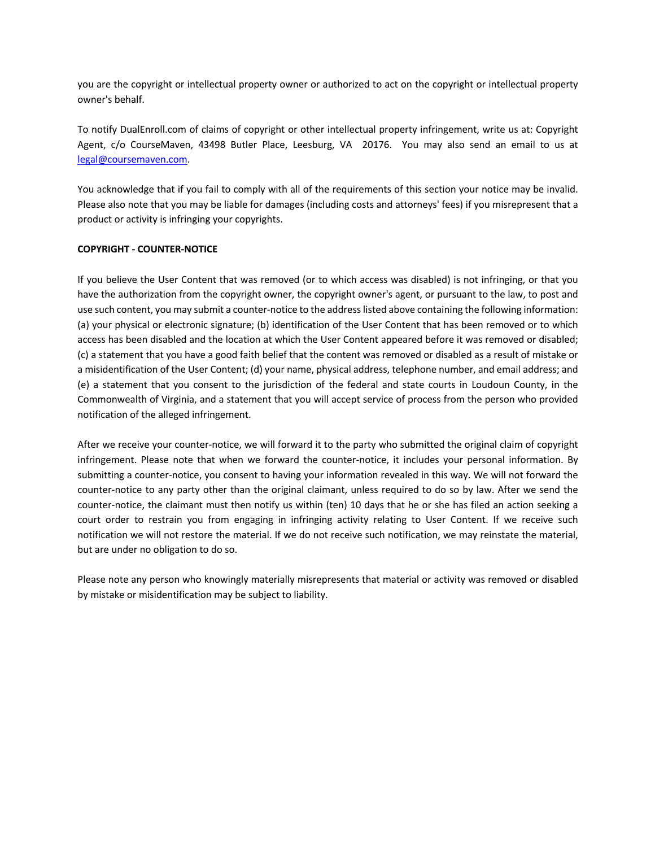you are the copyright or intellectual property owner or authorized to act on the copyright or intellectual property owner's behalf.

To notify DualEnroll.com of claims of copyright or other intellectual property infringement, write us at: Copyright Agent, c/o CourseMaven, 43498 Butler Place, Leesburg, VA 20176. You may also send an email to us at legal@coursemaven.com.

You acknowledge that if you fail to comply with all of the requirements of this section your notice may be invalid. Please also note that you may be liable for damages (including costs and attorneys' fees) if you misrepresent that a product or activity is infringing your copyrights.

### **COPYRIGHT - COUNTER-NOTICE**

If you believe the User Content that was removed (or to which access was disabled) is not infringing, or that you have the authorization from the copyright owner, the copyright owner's agent, or pursuant to the law, to post and use such content, you may submit a counter-notice to the address listed above containing the following information: (a) your physical or electronic signature; (b) identification of the User Content that has been removed or to which access has been disabled and the location at which the User Content appeared before it was removed or disabled; (c) a statement that you have a good faith belief that the content was removed or disabled as a result of mistake or a misidentification of the User Content; (d) your name, physical address, telephone number, and email address; and (e) a statement that you consent to the jurisdiction of the federal and state courts in Loudoun County, in the Commonwealth of Virginia, and a statement that you will accept service of process from the person who provided notification of the alleged infringement.

After we receive your counter-notice, we will forward it to the party who submitted the original claim of copyright infringement. Please note that when we forward the counter-notice, it includes your personal information. By submitting a counter-notice, you consent to having your information revealed in this way. We will not forward the counter-notice to any party other than the original claimant, unless required to do so by law. After we send the counter-notice, the claimant must then notify us within (ten) 10 days that he or she has filed an action seeking a court order to restrain you from engaging in infringing activity relating to User Content. If we receive such notification we will not restore the material. If we do not receive such notification, we may reinstate the material, but are under no obligation to do so.

Please note any person who knowingly materially misrepresents that material or activity was removed or disabled by mistake or misidentification may be subject to liability.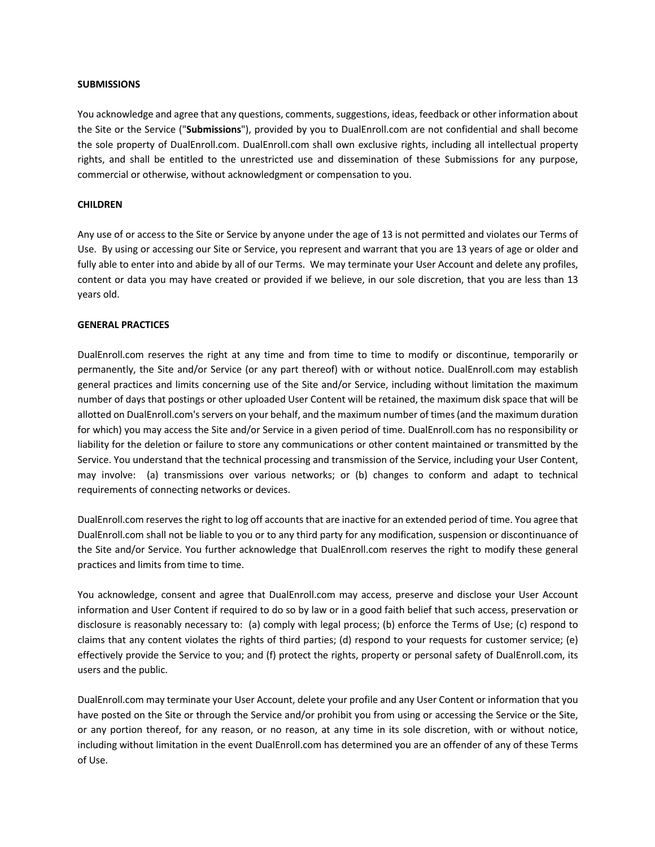### **SUBMISSIONS**

You acknowledge and agree that any questions, comments, suggestions, ideas, feedback or other information about the Site or the Service ("**Submissions**"), provided by you to DualEnroll.com are not confidential and shall become the sole property of DualEnroll.com. DualEnroll.com shall own exclusive rights, including all intellectual property rights, and shall be entitled to the unrestricted use and dissemination of these Submissions for any purpose, commercial or otherwise, without acknowledgment or compensation to you.

#### **CHILDREN**

Any use of or access to the Site or Service by anyone under the age of 13 is not permitted and violates our Terms of Use. By using or accessing our Site or Service, you represent and warrant that you are 13 years of age or older and fully able to enter into and abide by all of our Terms. We may terminate your User Account and delete any profiles, content or data you may have created or provided if we believe, in our sole discretion, that you are less than 13 years old.

#### **GENERAL PRACTICES**

DualEnroll.com reserves the right at any time and from time to time to modify or discontinue, temporarily or permanently, the Site and/or Service (or any part thereof) with or without notice. DualEnroll.com may establish general practices and limits concerning use of the Site and/or Service, including without limitation the maximum number of days that postings or other uploaded User Content will be retained, the maximum disk space that will be allotted on DualEnroll.com's servers on your behalf, and the maximum number of times (and the maximum duration for which) you may access the Site and/or Service in a given period of time. DualEnroll.com has no responsibility or liability for the deletion or failure to store any communications or other content maintained or transmitted by the Service. You understand that the technical processing and transmission of the Service, including your User Content, may involve: (a) transmissions over various networks; or (b) changes to conform and adapt to technical requirements of connecting networks or devices.

DualEnroll.com reserves the right to log off accounts that are inactive for an extended period of time. You agree that DualEnroll.com shall not be liable to you or to any third party for any modification, suspension or discontinuance of the Site and/or Service. You further acknowledge that DualEnroll.com reserves the right to modify these general practices and limits from time to time.

You acknowledge, consent and agree that DualEnroll.com may access, preserve and disclose your User Account information and User Content if required to do so by law or in a good faith belief that such access, preservation or disclosure is reasonably necessary to: (a) comply with legal process; (b) enforce the Terms of Use; (c) respond to claims that any content violates the rights of third parties; (d) respond to your requests for customer service; (e) effectively provide the Service to you; and (f) protect the rights, property or personal safety of DualEnroll.com, its users and the public.

DualEnroll.com may terminate your User Account, delete your profile and any User Content or information that you have posted on the Site or through the Service and/or prohibit you from using or accessing the Service or the Site, or any portion thereof, for any reason, or no reason, at any time in its sole discretion, with or without notice, including without limitation in the event DualEnroll.com has determined you are an offender of any of these Terms of Use.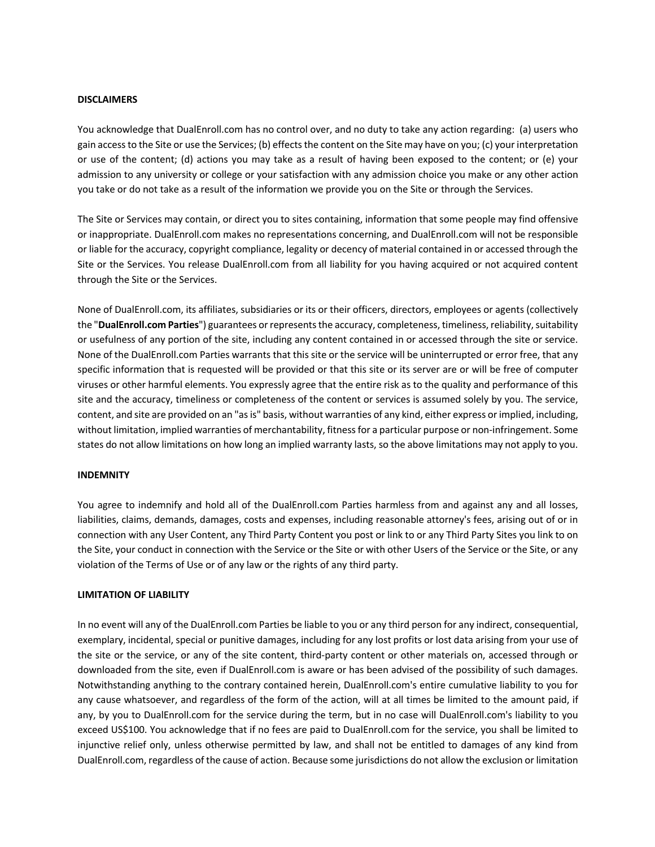## **DISCLAIMERS**

You acknowledge that DualEnroll.com has no control over, and no duty to take any action regarding: (a) users who gain access to the Site or use the Services; (b) effects the content on the Site may have on you; (c) your interpretation or use of the content; (d) actions you may take as a result of having been exposed to the content; or (e) your admission to any university or college or your satisfaction with any admission choice you make or any other action you take or do not take as a result of the information we provide you on the Site or through the Services.

The Site or Services may contain, or direct you to sites containing, information that some people may find offensive or inappropriate. DualEnroll.com makes no representations concerning, and DualEnroll.com will not be responsible or liable for the accuracy, copyright compliance, legality or decency of material contained in or accessed through the Site or the Services. You release DualEnroll.com from all liability for you having acquired or not acquired content through the Site or the Services.

None of DualEnroll.com, its affiliates, subsidiaries or its or their officers, directors, employees or agents (collectively the "**DualEnroll.com Parties**") guarantees or represents the accuracy, completeness, timeliness, reliability, suitability or usefulness of any portion of the site, including any content contained in or accessed through the site or service. None of the DualEnroll.com Parties warrants that this site or the service will be uninterrupted or error free, that any specific information that is requested will be provided or that this site or its server are or will be free of computer viruses or other harmful elements. You expressly agree that the entire risk as to the quality and performance of this site and the accuracy, timeliness or completeness of the content or services is assumed solely by you. The service, content, and site are provided on an "as is" basis, without warranties of any kind, either express or implied, including, without limitation, implied warranties of merchantability, fitness for a particular purpose or non-infringement. Some states do not allow limitations on how long an implied warranty lasts, so the above limitations may not apply to you.

#### **INDEMNITY**

You agree to indemnify and hold all of the DualEnroll.com Parties harmless from and against any and all losses, liabilities, claims, demands, damages, costs and expenses, including reasonable attorney's fees, arising out of or in connection with any User Content, any Third Party Content you post or link to or any Third Party Sites you link to on the Site, your conduct in connection with the Service or the Site or with other Users of the Service or the Site, or any violation of the Terms of Use or of any law or the rights of any third party.

#### **LIMITATION OF LIABILITY**

In no event will any of the DualEnroll.com Parties be liable to you or any third person for any indirect, consequential, exemplary, incidental, special or punitive damages, including for any lost profits or lost data arising from your use of the site or the service, or any of the site content, third-party content or other materials on, accessed through or downloaded from the site, even if DualEnroll.com is aware or has been advised of the possibility of such damages. Notwithstanding anything to the contrary contained herein, DualEnroll.com's entire cumulative liability to you for any cause whatsoever, and regardless of the form of the action, will at all times be limited to the amount paid, if any, by you to DualEnroll.com for the service during the term, but in no case will DualEnroll.com's liability to you exceed US\$100. You acknowledge that if no fees are paid to DualEnroll.com for the service, you shall be limited to injunctive relief only, unless otherwise permitted by law, and shall not be entitled to damages of any kind from DualEnroll.com, regardless of the cause of action. Because some jurisdictions do not allow the exclusion or limitation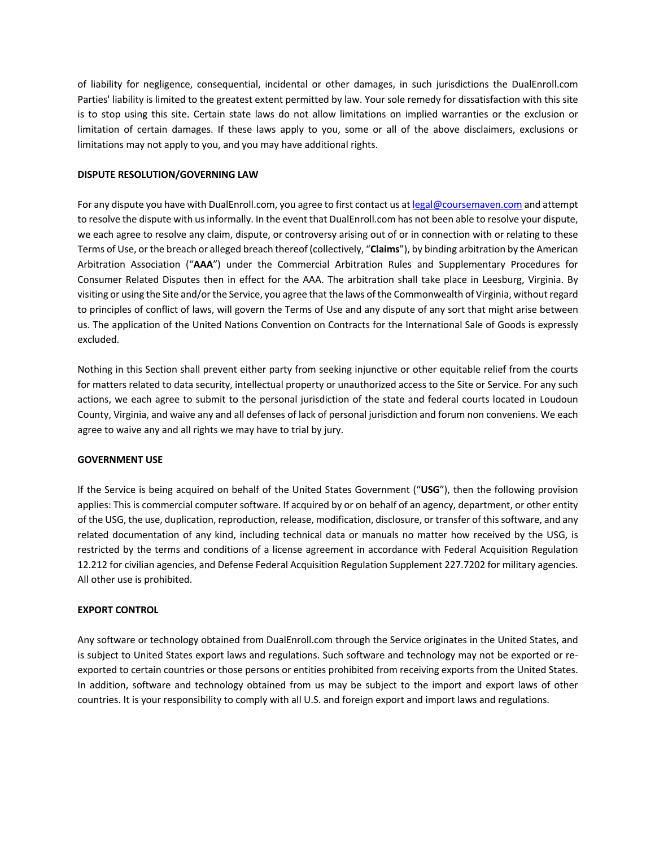of liability for negligence, consequential, incidental or other damages, in such jurisdictions the DualEnroll.com Parties' liability is limited to the greatest extent permitted by law. Your sole remedy for dissatisfaction with this site is to stop using this site. Certain state laws do not allow limitations on implied warranties or the exclusion or limitation of certain damages. If these laws apply to you, some or all of the above disclaimers, exclusions or limitations may not apply to you, and you may have additional rights.

# **DISPUTE RESOLUTION/GOVERNING LAW**

For any dispute you have with DualEnroll.com, you agree to first contact us at legal@coursemaven.com and attempt to resolve the dispute with us informally. In the event that DualEnroll.com has not been able to resolve your dispute, we each agree to resolve any claim, dispute, or controversy arising out of or in connection with or relating to these Terms of Use, or the breach or alleged breach thereof (collectively, "**Claims**"), by binding arbitration by the American Arbitration Association ("**AAA**") under the Commercial Arbitration Rules and Supplementary Procedures for Consumer Related Disputes then in effect for the AAA. The arbitration shall take place in Leesburg, Virginia. By visiting or using the Site and/or the Service, you agree that the laws of the Commonwealth of Virginia, without regard to principles of conflict of laws, will govern the Terms of Use and any dispute of any sort that might arise between us. The application of the United Nations Convention on Contracts for the International Sale of Goods is expressly excluded.

Nothing in this Section shall prevent either party from seeking injunctive or other equitable relief from the courts for matters related to data security, intellectual property or unauthorized access to the Site or Service. For any such actions, we each agree to submit to the personal jurisdiction of the state and federal courts located in Loudoun County, Virginia, and waive any and all defenses of lack of personal jurisdiction and forum non conveniens. We each agree to waive any and all rights we may have to trial by jury.

# **GOVERNMENT USE**

If the Service is being acquired on behalf of the United States Government ("**USG**"), then the following provision applies: This is commercial computer software. If acquired by or on behalf of an agency, department, or other entity of the USG, the use, duplication, reproduction, release, modification, disclosure, or transfer of this software, and any related documentation of any kind, including technical data or manuals no matter how received by the USG, is restricted by the terms and conditions of a license agreement in accordance with Federal Acquisition Regulation 12.212 for civilian agencies, and Defense Federal Acquisition Regulation Supplement 227.7202 for military agencies. All other use is prohibited.

# **EXPORT CONTROL**

Any software or technology obtained from DualEnroll.com through the Service originates in the United States, and is subject to United States export laws and regulations. Such software and technology may not be exported or reexported to certain countries or those persons or entities prohibited from receiving exports from the United States. In addition, software and technology obtained from us may be subject to the import and export laws of other countries. It is your responsibility to comply with all U.S. and foreign export and import laws and regulations.